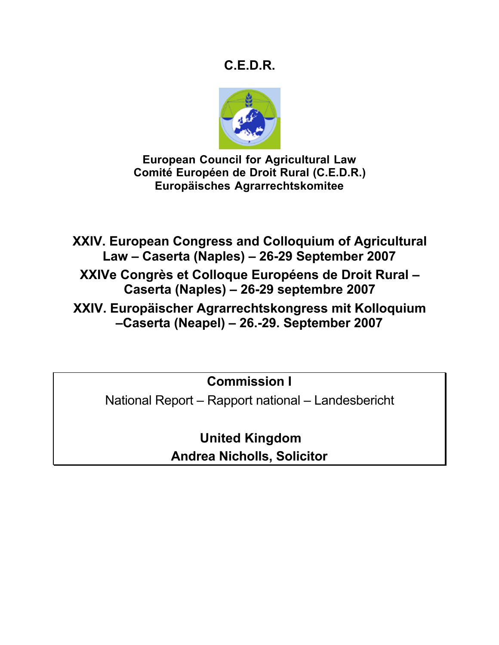# **C.E.D.R.**



**European Council for Agricultural Law Comité Européen de Droit Rural (C.E.D.R.) Europäisches Agrarrechtskomitee**

**XXIV. European Congress and Colloquium of Agricultural Law – Caserta (Naples) – 26-29 September 2007**

**XXIVe Congrès et Colloque Européens de Droit Rural – Caserta (Naples) – 26-29 septembre 2007**

**XXIV. Europäischer Agrarrechtskongress mit Kolloquium –Caserta (Neapel) – 26.-29. September 2007**

**Commission I**

National Report – Rapport national – Landesbericht

**United Kingdom Andrea Nicholls, Solicitor**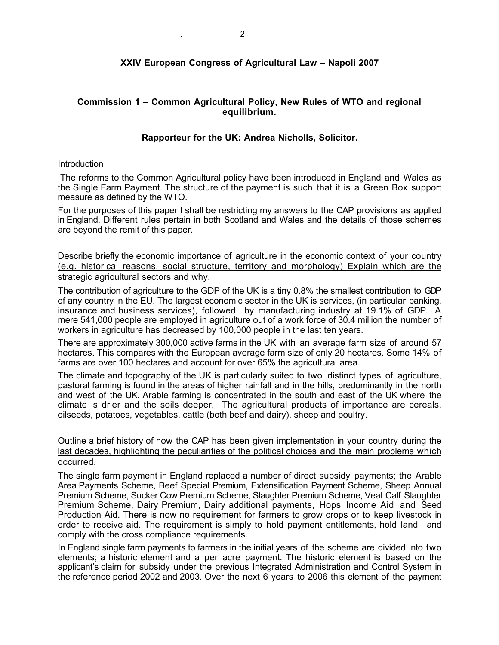# **XXIV European Congress of Agricultural Law – Napoli 2007**

## **Commission 1 – Common Agricultural Policy, New Rules of WTO and regional equilibrium.**

## **Rapporteur for the UK: Andrea Nicholls, Solicitor.**

#### **Introduction**

The reforms to the Common Agricultural policy have been introduced in England and Wales as the Single Farm Payment. The structure of the payment is such that it is a Green Box support measure as defined by the WTO.

For the purposes of this paper I shall be restricting my answers to the CAP provisions as applied in England. Different rules pertain in both Scotland and Wales and the details of those schemes are beyond the remit of this paper.

Describe briefly the economic importance of agriculture in the economic context of your country (e.g. historical reasons, social structure, territory and morphology) Explain which are the strategic agricultural sectors and why.

The contribution of agriculture to the GDP of the UK is a tiny 0.8% the smallest contribution to GDP of any country in the EU. The largest economic sector in the UK is services, (in particular banking, insurance and business services), followed by manufacturing industry at 19.1% of GDP. A mere 541,000 people are employed in agriculture out of a work force of 30.4 million the number of workers in agriculture has decreased by 100,000 people in the last ten years.

There are approximately 300,000 active farms in the UK with an average farm size of around 57 hectares. This compares with the European average farm size of only 20 hectares. Some 14% of farms are over 100 hectares and account for over 65% the agricultural area.

The climate and topography of the UK is particularly suited to two distinct types of agriculture, pastoral farming is found in the areas of higher rainfall and in the hills, predominantly in the north and west of the UK. Arable farming is concentrated in the south and east of the UK where the climate is drier and the soils deeper. The agricultural products of importance are cereals, oilseeds, potatoes, vegetables, cattle (both beef and dairy), sheep and poultry.

Outline a brief history of how the CAP has been given implementation in your country during the last decades, highlighting the peculiarities of the political choices and the main problems which occurred.

The single farm payment in England replaced a number of direct subsidy payments; the Arable Area Payments Scheme, Beef Special Premium, Extensification Payment Scheme, Sheep Annual Premium Scheme, Sucker Cow Premium Scheme, Slaughter Premium Scheme, Veal Calf Slaughter Premium Scheme, Dairy Premium, Dairy additional payments, Hops Income Aid and Seed Production Aid. There is now no requirement for farmers to grow crops or to keep livestock in order to receive aid. The requirement is simply to hold payment entitlements, hold land and comply with the cross compliance requirements.

In England single farm payments to farmers in the initial years of the scheme are divided into two elements; a historic element and a per acre payment. The historic element is based on the applicant's claim for subsidy under the previous Integrated Administration and Control System in the reference period 2002 and 2003. Over the next 6 years to 2006 this element of the payment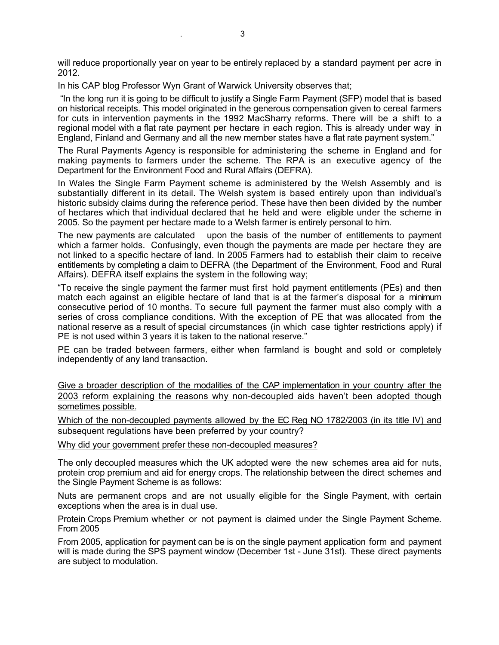will reduce proportionally year on year to be entirely replaced by a standard payment per acre in 2012.

In his CAP blog Professor Wyn Grant of Warwick University observes that;

 "In the long run it is going to be difficult to justify a Single Farm Payment (SFP) model that is based on historical receipts. This model originated in the generous compensation given to cereal farmers for cuts in intervention payments in the 1992 MacSharry reforms. There will be a shift to a regional model with a flat rate payment per hectare in each region. This is already under way in England, Finland and Germany and all the new member states have a flat rate payment system."

The Rural Payments Agency is responsible for administering the scheme in England and for making payments to farmers under the scheme. The RPA is an executive agency of the Department for the Environment Food and Rural Affairs (DEFRA).

In Wales the Single Farm Payment scheme is administered by the Welsh Assembly and is substantially different in its detail. The Welsh system is based entirely upon than individual's historic subsidy claims during the reference period. These have then been divided by the number of hectares which that individual declared that he held and were eligible under the scheme in 2005. So the payment per hectare made to a Welsh farmer is entirely personal to him.

The new payments are calculated upon the basis of the number of entitlements to payment which a farmer holds. Confusingly, even though the payments are made per hectare they are not linked to a specific hectare of land. In 2005 Farmers had to establish their claim to receive entitlements by completing a claim to DEFRA (the Department of the Environment, Food and Rural Affairs). DEFRA itself explains the system in the following way;

"To receive the single payment the farmer must first hold payment entitlements (PEs) and then match each against an eligible hectare of land that is at the farmer's disposal for a minimum consecutive period of 10 months. To secure full payment the farmer must also comply with a series of cross compliance conditions. With the exception of PE that was allocated from the national reserve as a result of special circumstances (in which case tighter restrictions apply) if PE is not used within 3 years it is taken to the national reserve."

PE can be traded between farmers, either when farmland is bought and sold or completely independently of any land transaction.

Give a broader description of the modalities of the CAP implementation in your country after the 2003 reform explaining the reasons why non-decoupled aids haven't been adopted though sometimes possible.

Which of the non-decoupled payments allowed by the EC Reg NO 1782/2003 (in its title IV) and subsequent regulations have been preferred by your country?

Why did your government prefer these non-decoupled measures?

The only decoupled measures which the UK adopted were the new schemes area aid for nuts, protein crop premium and aid for energy crops. The relationship between the direct schemes and the Single Payment Scheme is as follows:

Nuts are permanent crops and are not usually eligible for the Single Payment, with certain exceptions when the area is in dual use.

Protein Crops Premium whether or not payment is claimed under the Single Payment Scheme. From 2005

From 2005, application for payment can be is on the single payment application form and payment will is made during the SPS payment window (December 1st - June 31st). These direct payments are subject to modulation.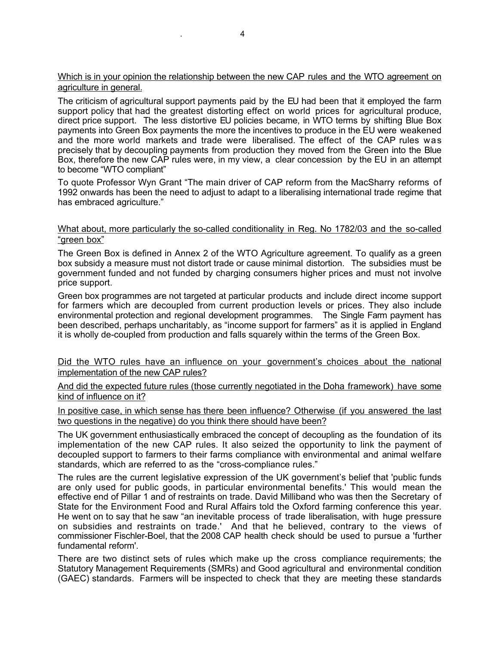## Which is in your opinion the relationship between the new CAP rules and the WTO agreement on agriculture in general.

The criticism of agricultural support payments paid by the EU had been that it employed the farm support policy that had the greatest distorting effect on world prices for agricultural produce, direct price support. The less distortive EU policies became, in WTO terms by shifting Blue Box payments into Green Box payments the more the incentives to produce in the EU were weakened and the more world markets and trade were liberalised. The effect of the CAP rules was precisely that by decoupling payments from production they moved from the Green into the Blue Box, therefore the new CAP rules were, in my view, a clear concession by the EU in an attempt to become "WTO compliant"

To quote Professor Wyn Grant "The main driver of CAP reform from the MacSharry reforms of 1992 onwards has been the need to adjust to adapt to a liberalising international trade regime that has embraced agriculture."

## What about, more particularly the so-called conditionality in Reg. No 1782/03 and the so-called "green box"

The Green Box is defined in Annex 2 of the WTO Agriculture agreement. To qualify as a green box subsidy a measure must not distort trade or cause minimal distortion. The subsidies must be government funded and not funded by charging consumers higher prices and must not involve price support.

Green box programmes are not targeted at particular products and include direct income support for farmers which are decoupled from current production levels or prices. They also include environmental protection and regional development programmes. The Single Farm payment has been described, perhaps uncharitably, as "income support for farmers" as it is applied in England it is wholly de-coupled from production and falls squarely within the terms of the Green Box.

Did the WTO rules have an influence on your government's choices about the national implementation of the new CAP rules?

And did the expected future rules (those currently negotiated in the Doha framework) have some kind of influence on it?

In positive case, in which sense has there been influence? Otherwise (if you answered the last two questions in the negative) do you think there should have been?

The UK government enthusiastically embraced the concept of decoupling as the foundation of its implementation of the new CAP rules. It also seized the opportunity to link the payment of decoupled support to farmers to their farms compliance with environmental and animal welfare standards, which are referred to as the "cross-compliance rules."

The rules are the current legislative expression of the UK government's belief that 'public funds are only used for public goods, in particular environmental benefits.' This would mean the effective end of Pillar 1 and of restraints on trade. David Milliband who was then the Secretary of State for the Environment Food and Rural Affairs told the Oxford farming conference this year. He went on to say that he saw "an inevitable process of trade liberalisation, with huge pressure on subsidies and restraints on trade.' And that he believed, contrary to the views of commissioner Fischler-Boel, that the 2008 CAP health check should be used to pursue a 'further fundamental reform'.

There are two distinct sets of rules which make up the cross compliance requirements; the Statutory Management Requirements (SMRs) and Good agricultural and environmental condition (GAEC) standards. Farmers will be inspected to check that they are meeting these standards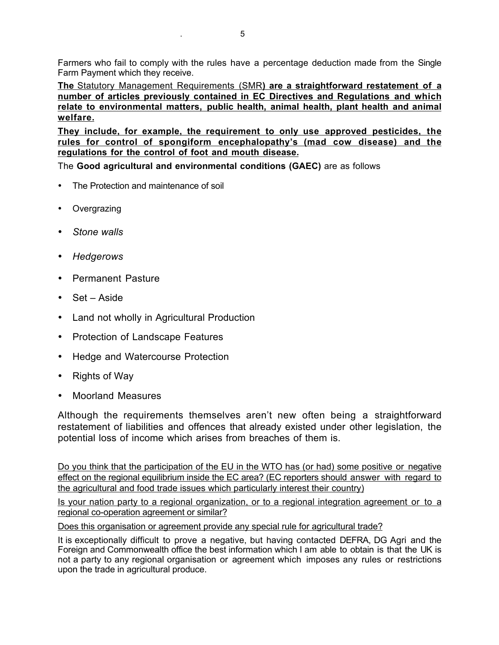Farmers who fail to comply with the rules have a percentage deduction made from the Single Farm Payment which they receive.

**The** Statutory Management Requirements (SMR**) are a straightforward restatement of a number of articles previously contained in EC Directives and Regulations and which relate to environmental matters, public health, animal health, plant health and animal welfare.**

**They include, for example, the requirement to only use approved pesticides, the rules for control of spongiform encephalopathy's (mad cow disease) and the regulations for the control of foot and mouth disease.**

The **Good agricultural and environmental conditions (GAEC)** are as follows

- The Protection and maintenance of soil
- **Overgrazing**
- *Stone walls*
- *Hedgerows*
- Permanent Pasture
- Set Aside
- Land not wholly in Agricultural Production
- Protection of Landscape Features
- Hedge and Watercourse Protection
- Rights of Way
- Moorland Measures

Although the requirements themselves aren't new often being a straightforward restatement of liabilities and offences that already existed under other legislation, the potential loss of income which arises from breaches of them is.

Do you think that the participation of the EU in the WTO has (or had) some positive or negative effect on the regional equilibrium inside the EC area? (EC reporters should answer with regard to the agricultural and food trade issues which particularly interest their country)

Is your nation party to a regional organization, or to a regional integration agreement or to a regional co-operation agreement or similar?

Does this organisation or agreement provide any special rule for agricultural trade?

It is exceptionally difficult to prove a negative, but having contacted DEFRA, DG Agri and the Foreign and Commonwealth office the best information which I am able to obtain is that the UK is not a party to any regional organisation or agreement which imposes any rules or restrictions upon the trade in agricultural produce.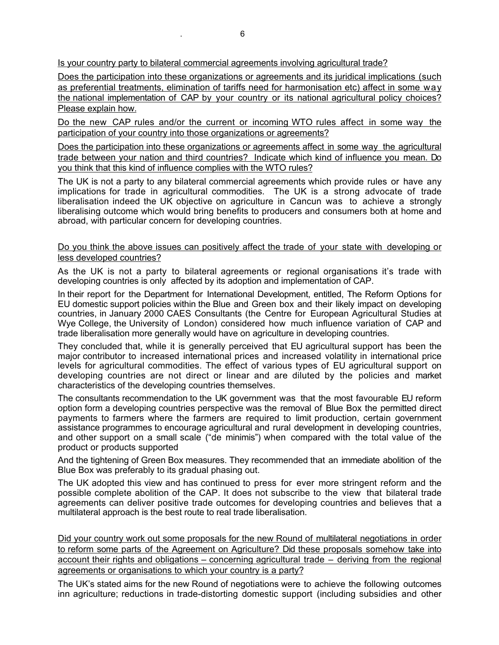Is your country party to bilateral commercial agreements involving agricultural trade?

Does the participation into these organizations or agreements and its juridical implications (such as preferential treatments, elimination of tariffs need for harmonisation etc) affect in some way the national implementation of CAP by your country or its national agricultural policy choices? Please explain how.

Do the new CAP rules and/or the current or incoming WTO rules affect in some way the participation of your country into those organizations or agreements?

Does the participation into these organizations or agreements affect in some way the agricultural trade between your nation and third countries? Indicate which kind of influence you mean. Do you think that this kind of influence complies with the WTO rules?

The UK is not a party to any bilateral commercial agreements which provide rules or have any implications for trade in agricultural commodities. The UK is a strong advocate of trade liberalisation indeed the UK objective on agriculture in Cancun was to achieve a strongly liberalising outcome which would bring benefits to producers and consumers both at home and abroad, with particular concern for developing countries.

### Do you think the above issues can positively affect the trade of your state with developing or less developed countries?

As the UK is not a party to bilateral agreements or regional organisations it's trade with developing countries is only affected by its adoption and implementation of CAP.

In their report for the Department for International Development, entitled, The Reform Options for EU domestic support policies within the Blue and Green box and their likely impact on developing countries, in January 2000 CAES Consultants (the Centre for European Agricultural Studies at Wye College, the University of London) considered how much influence variation of CAP and trade liberalisation more generally would have on agriculture in developing countries.

They concluded that, while it is generally perceived that EU agricultural support has been the major contributor to increased international prices and increased volatility in international price levels for agricultural commodities. The effect of various types of EU agricultural support on developing countries are not direct or linear and are diluted by the policies and market characteristics of the developing countries themselves.

The consultants recommendation to the UK government was that the most favourable EU reform option form a developing countries perspective was the removal of Blue Box the permitted direct payments to farmers where the farmers are required to limit production, certain government assistance programmes to encourage agricultural and rural development in developing countries. and other support on a small scale ("de minimis") when compared with the total value of the product or products supported

And the tightening of Green Box measures. They recommended that an immediate abolition of the Blue Box was preferably to its gradual phasing out.

The UK adopted this view and has continued to press for ever more stringent reform and the possible complete abolition of the CAP. It does not subscribe to the view that bilateral trade agreements can deliver positive trade outcomes for developing countries and believes that a multilateral approach is the best route to real trade liberalisation.

Did your country work out some proposals for the new Round of multilateral negotiations in order to reform some parts of the Agreement on Agriculture? Did these proposals somehow take into account their rights and obligations – concerning agricultural trade – deriving from the regional agreements or organisations to which your country is a party?

The UK's stated aims for the new Round of negotiations were to achieve the following outcomes inn agriculture; reductions in trade-distorting domestic support (including subsidies and other